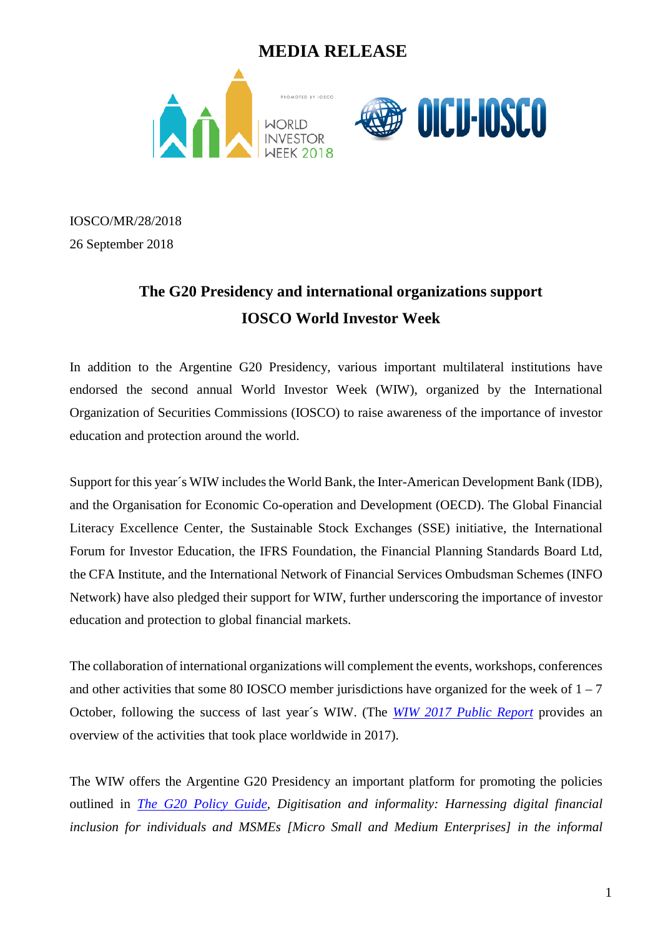



IOSCO/MR/28/2018 26 September 2018

# **The G20 Presidency and international organizations support IOSCO World Investor Week**

In addition to the Argentine G20 Presidency, various important multilateral institutions have endorsed the second annual World Investor Week (WIW), organized by the International Organization of Securities Commissions (IOSCO) to raise awareness of the importance of investor education and protection around the world.

Support for this year´s WIW includes the World Bank, the Inter-American Development Bank (IDB), and the Organisation for Economic Co-operation and Development (OECD). The Global Financial Literacy Excellence Center, the Sustainable Stock Exchanges (SSE) initiative, the International Forum for Investor Education, the IFRS Foundation, the Financial Planning Standards Board Ltd, the CFA Institute, and the International Network of Financial Services Ombudsman Schemes (INFO Network) have also pledged their support for WIW, further underscoring the importance of investor education and protection to global financial markets.

The collaboration of international organizations will complement the events, workshops, conferences and other activities that some 80 IOSCO member jurisdictions have organized for the week of  $1 - 7$ October, following the success of last year´s WIW. (The *[WIW 2017 Public Report](https://www.iosco.org/library/pubdocs/pdf/IOSCOPD606.pdf)* provides an overview of the activities that took place worldwide in 2017).

The WIW offers the Argentine G20 Presidency an important platform for promoting the policies outlined in *[The G20 Policy Guide,](https://www.gpfi.org/sites/default/files/documents/G20_Policy_Guide_Digitisation_and_Informality.pdf) Digitisation and informality: Harnessing digital financial inclusion for individuals and MSMEs [Micro Small and Medium Enterprises] in the informal*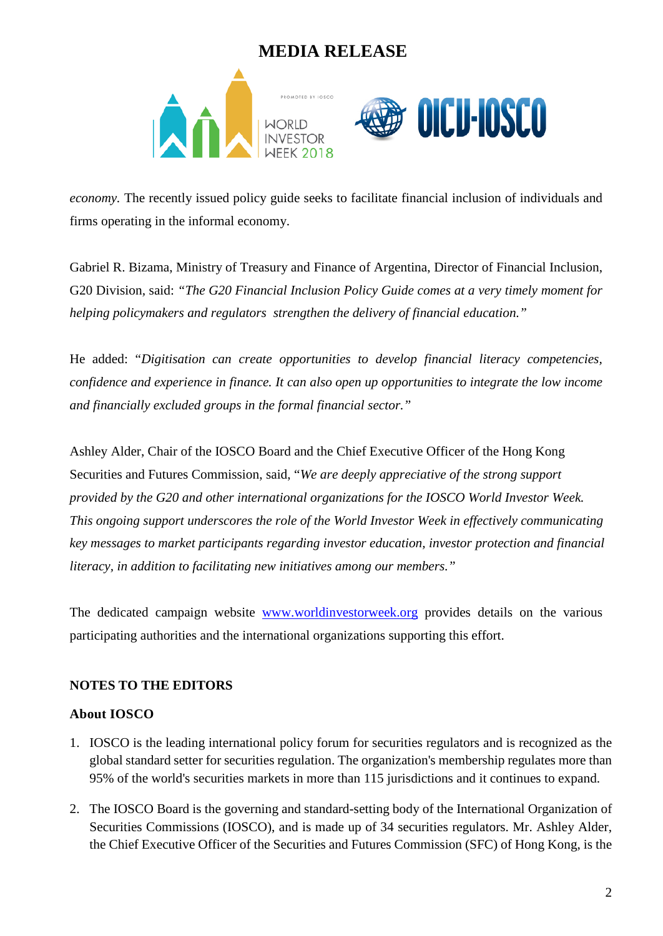



*economy.* The recently issued policy guide seeks to facilitate financial inclusion of individuals and firms operating in the informal economy.

Gabriel R. Bizama, Ministry of Treasury and Finance of Argentina, Director of Financial Inclusion, G20 Division*,* said: *"The G20 Financial Inclusion Policy Guide comes at a very timely moment for helping policymakers and regulators strengthen the delivery of financial education."*

He added: "*Digitisation can create opportunities to develop financial literacy competencies, confidence and experience in finance. It can also open up opportunities to integrate the low income and financially excluded groups in the formal financial sector."*

Ashley Alder, Chair of the IOSCO Board and the Chief Executive Officer of the Hong Kong Securities and Futures Commission, said, "*We are deeply appreciative of the strong support provided by the G20 and other international organizations for the IOSCO World Investor Week. This ongoing support underscores the role of the World Investor Week in effectively communicating key messages to market participants regarding investor education, investor protection and financial literacy, in addition to facilitating new initiatives among our members."*

The dedicated campaign website [www.worldinvestorweek.org](http://www.worldinvestorweek.org/) provides details on the various participating authorities and the international organizations supporting this effort.

#### **NOTES TO THE EDITORS**

#### **About IOSCO**

- 1. IOSCO is the leading international policy forum for securities regulators and is recognized as the global standard setter for securities regulation. The organization's membership regulates more than 95% of the world's securities markets in more than 115 jurisdictions and it continues to expand.
- 2. The IOSCO Board is the governing and standard-setting body of the International Organization of Securities Commissions (IOSCO), and is made up of 34 securities regulators. Mr. Ashley Alder, the Chief Executive Officer of the Securities and Futures Commission (SFC) of Hong Kong, is the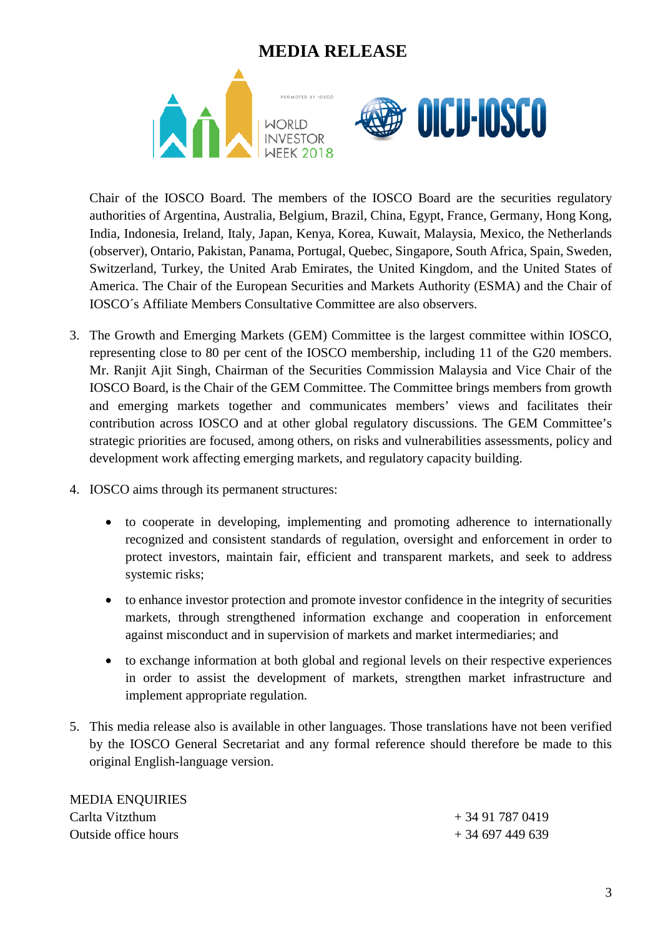

Chair of the IOSCO Board. The members of the IOSCO Board are the securities regulatory authorities of Argentina, Australia, Belgium, Brazil, China, Egypt, France, Germany, Hong Kong, India, Indonesia, Ireland, Italy, Japan, Kenya, Korea, Kuwait, Malaysia, Mexico, the Netherlands (observer), Ontario, Pakistan, Panama, Portugal, Quebec, Singapore, South Africa, Spain, Sweden, Switzerland, Turkey, the United Arab Emirates, the United Kingdom, and the United States of America. The Chair of the European Securities and Markets Authority (ESMA) and the Chair of IOSCO´s Affiliate Members Consultative Committee are also observers.

- 3. The Growth and Emerging Markets (GEM) Committee is the largest committee within IOSCO, representing close to 80 per cent of the IOSCO membership, including 11 of the G20 members. Mr. Ranjit Ajit Singh, Chairman of the Securities Commission Malaysia and Vice Chair of the IOSCO Board, is the Chair of the GEM Committee. The Committee brings members from growth and emerging markets together and communicates members' views and facilitates their contribution across IOSCO and at other global regulatory discussions. The GEM Committee's strategic priorities are focused, among others, on risks and vulnerabilities assessments, policy and development work affecting emerging markets, and regulatory capacity building.
- 4. IOSCO aims through its permanent structures:
	- to cooperate in developing, implementing and promoting adherence to internationally recognized and consistent standards of regulation, oversight and enforcement in order to protect investors, maintain fair, efficient and transparent markets, and seek to address systemic risks;
	- to enhance investor protection and promote investor confidence in the integrity of securities markets, through strengthened information exchange and cooperation in enforcement against misconduct and in supervision of markets and market intermediaries; and
	- to exchange information at both global and regional levels on their respective experiences in order to assist the development of markets, strengthen market infrastructure and implement appropriate regulation.
- 5. This media release also is available in other languages. Those translations have not been verified by the IOSCO General Secretariat and any formal reference should therefore be made to this original English-language version.

| <b>MEDIA ENQUIRIES</b> |                  |
|------------------------|------------------|
| Carlta Vitzthum        | + 34 91 787 0419 |
| Outside office hours   | $+34697449639$   |